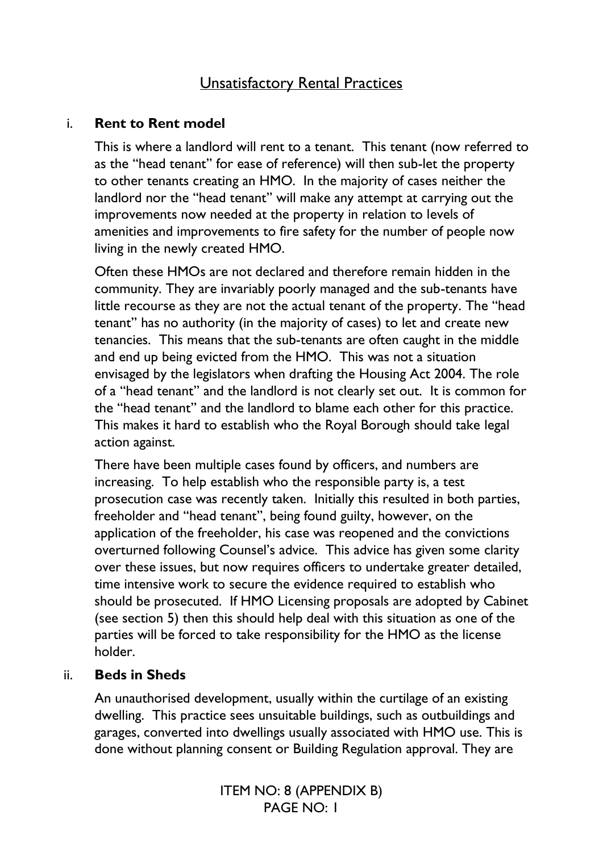# Unsatisfactory Rental Practices

### i. **Rent to Rent model**

This is where a landlord will rent to a tenant. This tenant (now referred to as the "head tenant" for ease of reference) will then sub-let the property to other tenants creating an HMO. In the majority of cases neither the landlord nor the "head tenant" will make any attempt at carrying out the improvements now needed at the property in relation to levels of amenities and improvements to fire safety for the number of people now living in the newly created HMO.

Often these HMOs are not declared and therefore remain hidden in the community. They are invariably poorly managed and the sub-tenants have little recourse as they are not the actual tenant of the property. The "head tenant" has no authority (in the majority of cases) to let and create new tenancies. This means that the sub-tenants are often caught in the middle and end up being evicted from the HMO. This was not a situation envisaged by the legislators when drafting the Housing Act 2004. The role of a "head tenant" and the landlord is not clearly set out. It is common for the "head tenant" and the landlord to blame each other for this practice. This makes it hard to establish who the Royal Borough should take legal action against.

There have been multiple cases found by officers, and numbers are increasing. To help establish who the responsible party is, a test prosecution case was recently taken. Initially this resulted in both parties, freeholder and "head tenant", being found guilty, however, on the application of the freeholder, his case was reopened and the convictions overturned following Counsel's advice. This advice has given some clarity over these issues, but now requires officers to undertake greater detailed, time intensive work to secure the evidence required to establish who should be prosecuted. If HMO Licensing proposals are adopted by Cabinet (see section 5) then this should help deal with this situation as one of the parties will be forced to take responsibility for the HMO as the license holder.

#### ii. **Beds in Sheds**

An unauthorised development, usually within the curtilage of an existing dwelling. This practice sees unsuitable buildings, such as outbuildings and garages, converted into dwellings usually associated with HMO use. This is done without planning consent or Building Regulation approval. They are

> ITEM NO: 8 (APPENDIX B) PAGE NO: 1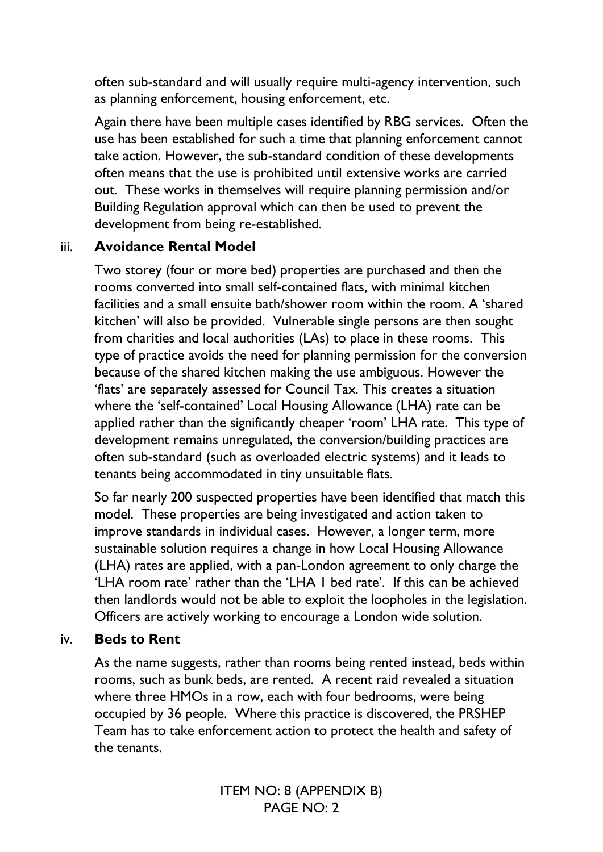often sub-standard and will usually require multi-agency intervention, such as planning enforcement, housing enforcement, etc.

Again there have been multiple cases identified by RBG services. Often the use has been established for such a time that planning enforcement cannot take action. However, the sub-standard condition of these developments often means that the use is prohibited until extensive works are carried out. These works in themselves will require planning permission and/or Building Regulation approval which can then be used to prevent the development from being re-established.

## iii. **Avoidance Rental Model**

Two storey (four or more bed) properties are purchased and then the rooms converted into small self-contained flats, with minimal kitchen facilities and a small ensuite bath/shower room within the room. A 'shared kitchen' will also be provided. Vulnerable single persons are then sought from charities and local authorities (LAs) to place in these rooms. This type of practice avoids the need for planning permission for the conversion because of the shared kitchen making the use ambiguous. However the 'flats' are separately assessed for Council Tax. This creates a situation where the 'self-contained' Local Housing Allowance (LHA) rate can be applied rather than the significantly cheaper 'room' LHA rate. This type of development remains unregulated, the conversion/building practices are often sub-standard (such as overloaded electric systems) and it leads to tenants being accommodated in tiny unsuitable flats.

So far nearly 200 suspected properties have been identified that match this model. These properties are being investigated and action taken to improve standards in individual cases. However, a longer term, more sustainable solution requires a change in how Local Housing Allowance (LHA) rates are applied, with a pan-London agreement to only charge the 'LHA room rate' rather than the 'LHA 1 bed rate'. If this can be achieved then landlords would not be able to exploit the loopholes in the legislation. Officers are actively working to encourage a London wide solution.

## iv. **Beds to Rent**

As the name suggests, rather than rooms being rented instead, beds within rooms, such as bunk beds, are rented. A recent raid revealed a situation where three HMOs in a row, each with four bedrooms, were being occupied by 36 people. Where this practice is discovered, the PRSHEP Team has to take enforcement action to protect the health and safety of the tenants.

> ITEM NO: 8 (APPENDIX B) PAGE NO: 2